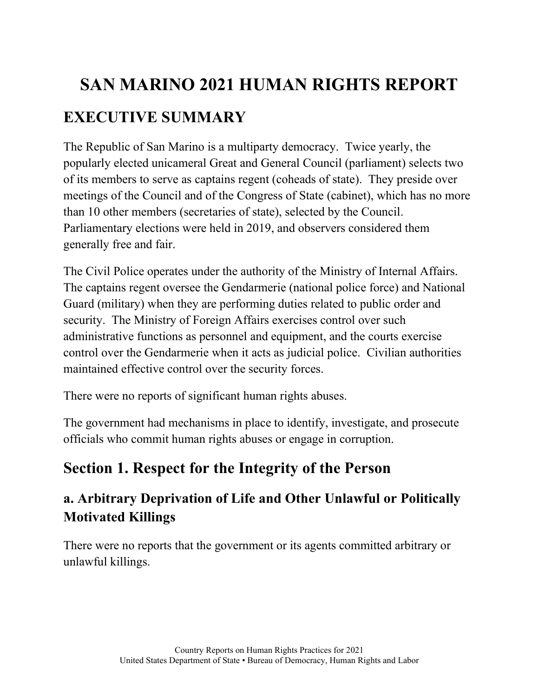# **SAN MARINO 2021 HUMAN RIGHTS REPORT EXECUTIVE SUMMARY**

The Republic of San Marino is a multiparty democracy. Twice yearly, the popularly elected unicameral Great and General Council (parliament) selects two of its members to serve as captains regent (coheads of state). They preside over meetings of the Council and of the Congress of State (cabinet), which has no more than 10 other members (secretaries of state), selected by the Council. Parliamentary elections were held in 2019, and observers considered them generally free and fair.

The Civil Police operates under the authority of the Ministry of Internal Affairs. The captains regent oversee the Gendarmerie (national police force) and National Guard (military) when they are performing duties related to public order and security. The Ministry of Foreign Affairs exercises control over such administrative functions as personnel and equipment, and the courts exercise control over the Gendarmerie when it acts as judicial police. Civilian authorities maintained effective control over the security forces.

There were no reports of significant human rights abuses.

The government had mechanisms in place to identify, investigate, and prosecute officials who commit human rights abuses or engage in corruption.

# **Section 1. Respect for the Integrity of the Person**

# **a. Arbitrary Deprivation of Life and Other Unlawful or Politically Motivated Killings**

There were no reports that the government or its agents committed arbitrary or unlawful killings.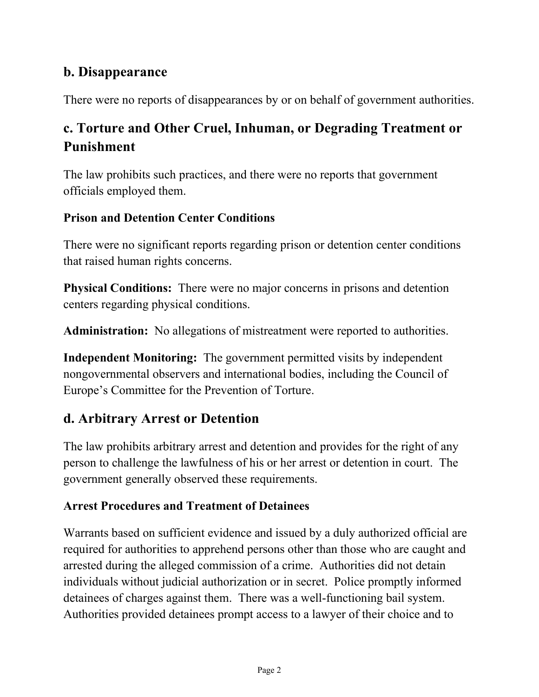#### **b. Disappearance**

There were no reports of disappearances by or on behalf of government authorities.

### **c. Torture and Other Cruel, Inhuman, or Degrading Treatment or Punishment**

The law prohibits such practices, and there were no reports that government officials employed them.

#### **Prison and Detention Center Conditions**

There were no significant reports regarding prison or detention center conditions that raised human rights concerns.

**Physical Conditions:** There were no major concerns in prisons and detention centers regarding physical conditions.

**Administration:** No allegations of mistreatment were reported to authorities.

**Independent Monitoring:** The government permitted visits by independent nongovernmental observers and international bodies, including the Council of Europe's Committee for the Prevention of Torture.

#### **d. Arbitrary Arrest or Detention**

The law prohibits arbitrary arrest and detention and provides for the right of any person to challenge the lawfulness of his or her arrest or detention in court. The government generally observed these requirements.

#### **Arrest Procedures and Treatment of Detainees**

Warrants based on sufficient evidence and issued by a duly authorized official are required for authorities to apprehend persons other than those who are caught and arrested during the alleged commission of a crime. Authorities did not detain individuals without judicial authorization or in secret. Police promptly informed detainees of charges against them. There was a well-functioning bail system. Authorities provided detainees prompt access to a lawyer of their choice and to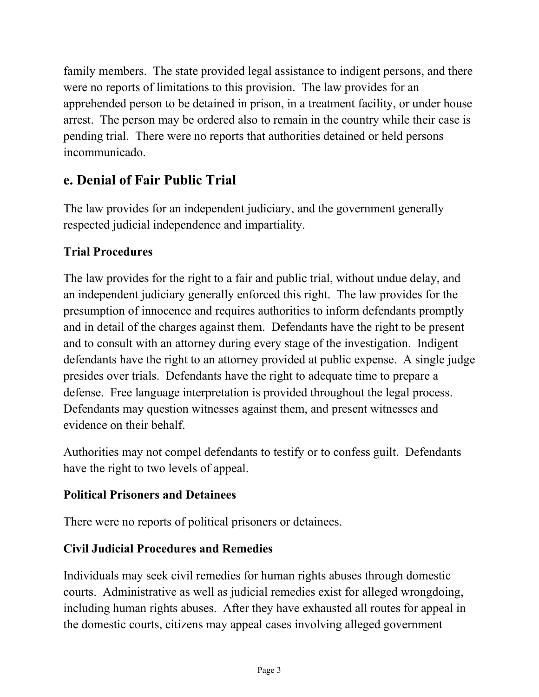family members. The state provided legal assistance to indigent persons, and there were no reports of limitations to this provision. The law provides for an apprehended person to be detained in prison, in a treatment facility, or under house arrest. The person may be ordered also to remain in the country while their case is pending trial. There were no reports that authorities detained or held persons incommunicado.

### **e. Denial of Fair Public Trial**

The law provides for an independent judiciary, and the government generally respected judicial independence and impartiality.

#### **Trial Procedures**

The law provides for the right to a fair and public trial, without undue delay, and an independent judiciary generally enforced this right. The law provides for the presumption of innocence and requires authorities to inform defendants promptly and in detail of the charges against them. Defendants have the right to be present and to consult with an attorney during every stage of the investigation. Indigent defendants have the right to an attorney provided at public expense. A single judge presides over trials. Defendants have the right to adequate time to prepare a defense. Free language interpretation is provided throughout the legal process. Defendants may question witnesses against them, and present witnesses and evidence on their behalf.

Authorities may not compel defendants to testify or to confess guilt. Defendants have the right to two levels of appeal.

#### **Political Prisoners and Detainees**

There were no reports of political prisoners or detainees.

#### **Civil Judicial Procedures and Remedies**

Individuals may seek civil remedies for human rights abuses through domestic courts. Administrative as well as judicial remedies exist for alleged wrongdoing, including human rights abuses. After they have exhausted all routes for appeal in the domestic courts, citizens may appeal cases involving alleged government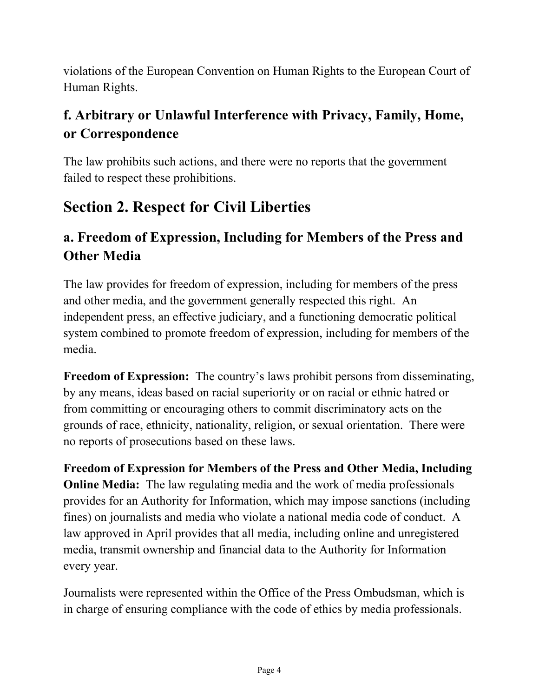violations of the European Convention on Human Rights to the European Court of Human Rights.

## **f. Arbitrary or Unlawful Interference with Privacy, Family, Home, or Correspondence**

The law prohibits such actions, and there were no reports that the government failed to respect these prohibitions.

# **Section 2. Respect for Civil Liberties**

### **a. Freedom of Expression, Including for Members of the Press and Other Media**

The law provides for freedom of expression, including for members of the press and other media, and the government generally respected this right. An independent press, an effective judiciary, and a functioning democratic political system combined to promote freedom of expression, including for members of the media.

**Freedom of Expression:** The country's laws prohibit persons from disseminating, by any means, ideas based on racial superiority or on racial or ethnic hatred or from committing or encouraging others to commit discriminatory acts on the grounds of race, ethnicity, nationality, religion, or sexual orientation. There were no reports of prosecutions based on these laws.

**Freedom of Expression for Members of the Press and Other Media, Including Online Media:** The law regulating media and the work of media professionals provides for an Authority for Information, which may impose sanctions (including fines) on journalists and media who violate a national media code of conduct. A law approved in April provides that all media, including online and unregistered media, transmit ownership and financial data to the Authority for Information every year.

Journalists were represented within the Office of the Press Ombudsman, which is in charge of ensuring compliance with the code of ethics by media professionals.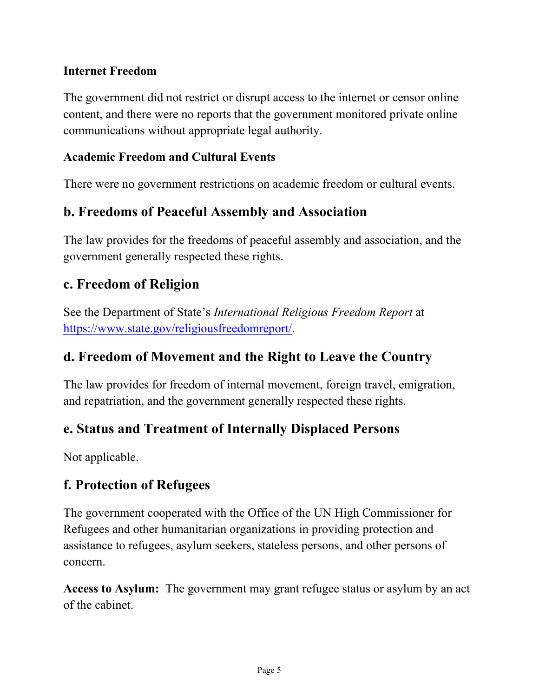#### **Internet Freedom**

The government did not restrict or disrupt access to the internet or censor online content, and there were no reports that the government monitored private online communications without appropriate legal authority.

#### **Academic Freedom and Cultural Events**

There were no government restrictions on academic freedom or cultural events.

#### **b. Freedoms of Peaceful Assembly and Association**

The law provides for the freedoms of peaceful assembly and association, and the government generally respected these rights.

#### **c. Freedom of Religion**

See the Department of State's *International Religious Freedom Report* at [https://www.state.gov/religiousfreedomreport/.](https://www.state.gov/religiousfreedomreport/)

#### **d. Freedom of Movement and the Right to Leave the Country**

The law provides for freedom of internal movement, foreign travel, emigration, and repatriation, and the government generally respected these rights.

#### **e. Status and Treatment of Internally Displaced Persons**

Not applicable.

#### **f. Protection of Refugees**

The government cooperated with the Office of the UN High Commissioner for Refugees and other humanitarian organizations in providing protection and assistance to refugees, asylum seekers, stateless persons, and other persons of concern.

**Access to Asylum:** The government may grant refugee status or asylum by an act of the cabinet.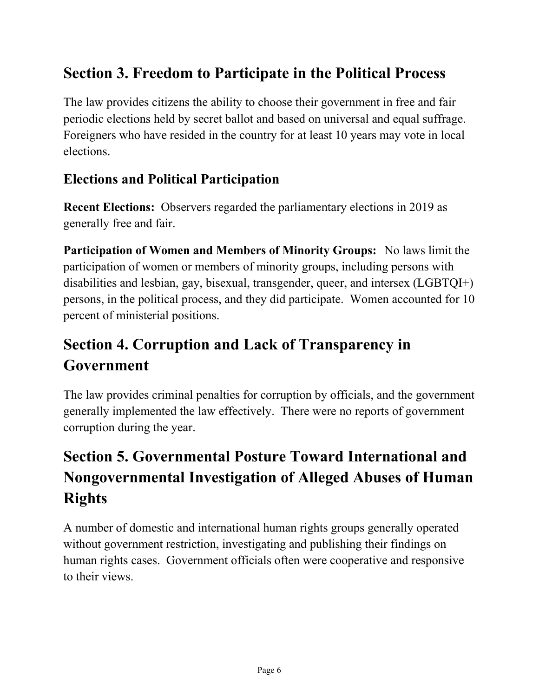# **Section 3. Freedom to Participate in the Political Process**

The law provides citizens the ability to choose their government in free and fair periodic elections held by secret ballot and based on universal and equal suffrage. Foreigners who have resided in the country for at least 10 years may vote in local elections.

### **Elections and Political Participation**

**Recent Elections:** Observers regarded the parliamentary elections in 2019 as generally free and fair.

**Participation of Women and Members of Minority Groups:** No laws limit the participation of women or members of minority groups, including persons with disabilities and lesbian, gay, bisexual, transgender, queer, and intersex (LGBTQI+) persons, in the political process, and they did participate. Women accounted for 10 percent of ministerial positions.

# **Section 4. Corruption and Lack of Transparency in Government**

The law provides criminal penalties for corruption by officials, and the government generally implemented the law effectively. There were no reports of government corruption during the year.

# **Section 5. Governmental Posture Toward International and Nongovernmental Investigation of Alleged Abuses of Human Rights**

A number of domestic and international human rights groups generally operated without government restriction, investigating and publishing their findings on human rights cases. Government officials often were cooperative and responsive to their views.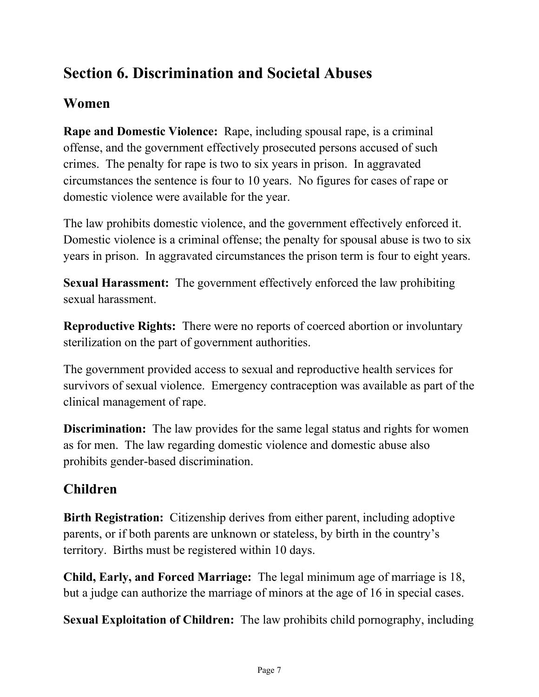# **Section 6. Discrimination and Societal Abuses**

### **Women**

**Rape and Domestic Violence:** Rape, including spousal rape, is a criminal offense, and the government effectively prosecuted persons accused of such crimes. The penalty for rape is two to six years in prison. In aggravated circumstances the sentence is four to 10 years. No figures for cases of rape or domestic violence were available for the year.

The law prohibits domestic violence, and the government effectively enforced it. Domestic violence is a criminal offense; the penalty for spousal abuse is two to six years in prison. In aggravated circumstances the prison term is four to eight years.

**Sexual Harassment:** The government effectively enforced the law prohibiting sexual harassment.

**Reproductive Rights:** There were no reports of coerced abortion or involuntary sterilization on the part of government authorities.

The government provided access to sexual and reproductive health services for survivors of sexual violence. Emergency contraception was available as part of the clinical management of rape.

**Discrimination:** The law provides for the same legal status and rights for women as for men. The law regarding domestic violence and domestic abuse also prohibits gender-based discrimination.

# **Children**

**Birth Registration:** Citizenship derives from either parent, including adoptive parents, or if both parents are unknown or stateless, by birth in the country's territory. Births must be registered within 10 days.

**Child, Early, and Forced Marriage:** The legal minimum age of marriage is 18, but a judge can authorize the marriage of minors at the age of 16 in special cases.

**Sexual Exploitation of Children:** The law prohibits child pornography, including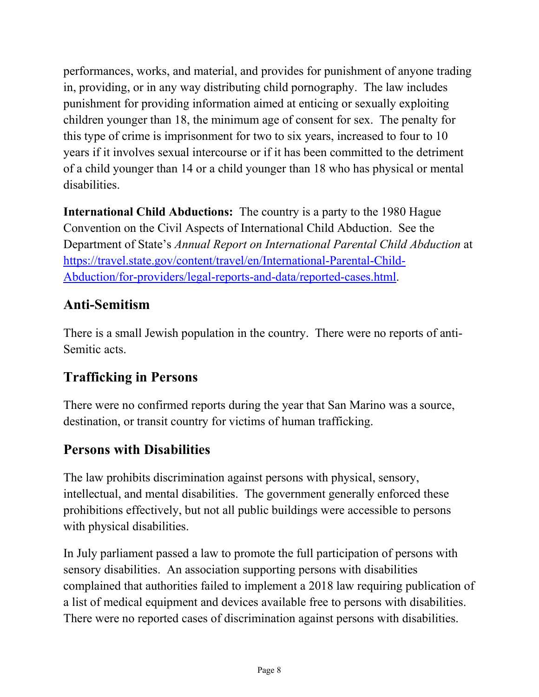performances, works, and material, and provides for punishment of anyone trading in, providing, or in any way distributing child pornography. The law includes punishment for providing information aimed at enticing or sexually exploiting children younger than 18, the minimum age of consent for sex. The penalty for this type of crime is imprisonment for two to six years, increased to four to 10 years if it involves sexual intercourse or if it has been committed to the detriment of a child younger than 14 or a child younger than 18 who has physical or mental disabilities.

**International Child Abductions:** The country is a party to the 1980 Hague Convention on the Civil Aspects of International Child Abduction. See the Department of State's *Annual Report on International Parental Child Abduction* at [https://travel.state.gov/content/travel/en/International-Parental-Child-](https://travel.state.gov/content/travel/en/International-Parental-Child-Abduction/for-providers/legal-reports-and-data/reported-cases.html)[Abduction/for-providers/legal-reports-and-data/reported-cases.html.](https://travel.state.gov/content/travel/en/International-Parental-Child-Abduction/for-providers/legal-reports-and-data/reported-cases.html)

#### **Anti-Semitism**

There is a small Jewish population in the country. There were no reports of anti-Semitic acts.

#### **Trafficking in Persons**

There were no confirmed reports during the year that San Marino was a source, destination, or transit country for victims of human trafficking.

#### **Persons with Disabilities**

The law prohibits discrimination against persons with physical, sensory, intellectual, and mental disabilities. The government generally enforced these prohibitions effectively, but not all public buildings were accessible to persons with physical disabilities.

In July parliament passed a law to promote the full participation of persons with sensory disabilities. An association supporting persons with disabilities complained that authorities failed to implement a 2018 law requiring publication of a list of medical equipment and devices available free to persons with disabilities. There were no reported cases of discrimination against persons with disabilities.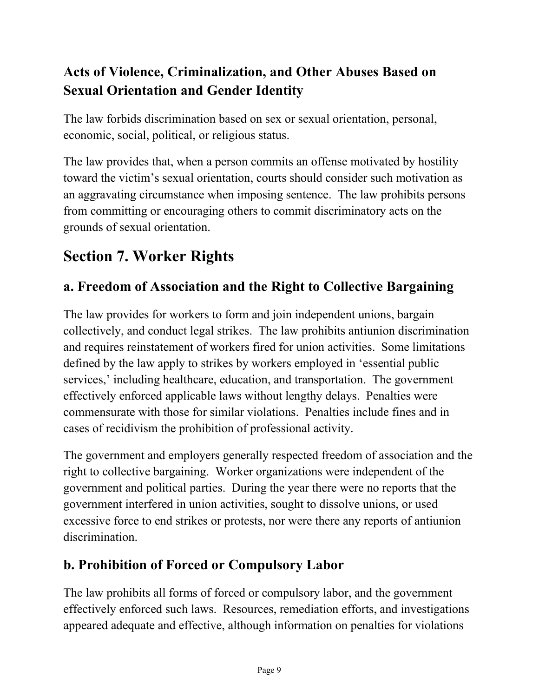## **Acts of Violence, Criminalization, and Other Abuses Based on Sexual Orientation and Gender Identity**

The law forbids discrimination based on sex or sexual orientation, personal, economic, social, political, or religious status.

The law provides that, when a person commits an offense motivated by hostility toward the victim's sexual orientation, courts should consider such motivation as an aggravating circumstance when imposing sentence. The law prohibits persons from committing or encouraging others to commit discriminatory acts on the grounds of sexual orientation.

# **Section 7. Worker Rights**

### **a. Freedom of Association and the Right to Collective Bargaining**

The law provides for workers to form and join independent unions, bargain collectively, and conduct legal strikes. The law prohibits antiunion discrimination and requires reinstatement of workers fired for union activities. Some limitations defined by the law apply to strikes by workers employed in 'essential public services,' including healthcare, education, and transportation. The government effectively enforced applicable laws without lengthy delays. Penalties were commensurate with those for similar violations. Penalties include fines and in cases of recidivism the prohibition of professional activity.

The government and employers generally respected freedom of association and the right to collective bargaining. Worker organizations were independent of the government and political parties. During the year there were no reports that the government interfered in union activities, sought to dissolve unions, or used excessive force to end strikes or protests, nor were there any reports of antiunion discrimination.

# **b. Prohibition of Forced or Compulsory Labor**

The law prohibits all forms of forced or compulsory labor, and the government effectively enforced such laws. Resources, remediation efforts, and investigations appeared adequate and effective, although information on penalties for violations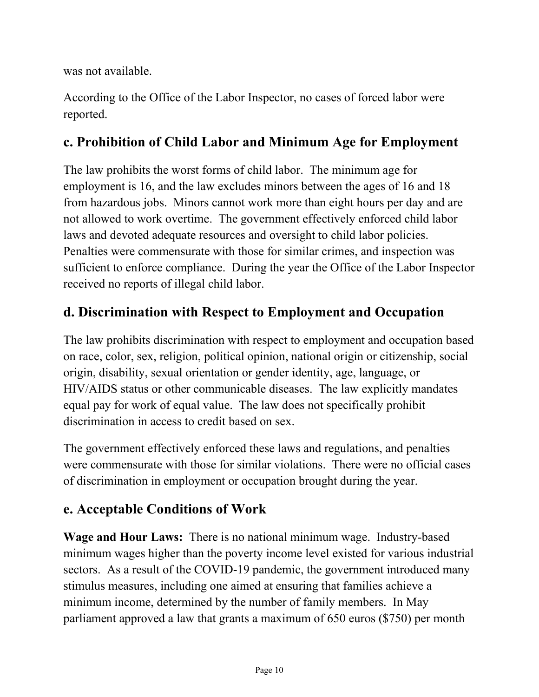was not available.

According to the Office of the Labor Inspector, no cases of forced labor were reported.

#### **c. Prohibition of Child Labor and Minimum Age for Employment**

The law prohibits the worst forms of child labor. The minimum age for employment is 16, and the law excludes minors between the ages of 16 and 18 from hazardous jobs. Minors cannot work more than eight hours per day and are not allowed to work overtime. The government effectively enforced child labor laws and devoted adequate resources and oversight to child labor policies. Penalties were commensurate with those for similar crimes, and inspection was sufficient to enforce compliance. During the year the Office of the Labor Inspector received no reports of illegal child labor.

#### **d. Discrimination with Respect to Employment and Occupation**

The law prohibits discrimination with respect to employment and occupation based on race, color, sex, religion, political opinion, national origin or citizenship, social origin, disability, sexual orientation or gender identity, age, language, or HIV/AIDS status or other communicable diseases. The law explicitly mandates equal pay for work of equal value. The law does not specifically prohibit discrimination in access to credit based on sex.

The government effectively enforced these laws and regulations, and penalties were commensurate with those for similar violations. There were no official cases of discrimination in employment or occupation brought during the year.

#### **e. Acceptable Conditions of Work**

**Wage and Hour Laws:** There is no national minimum wage. Industry-based minimum wages higher than the poverty income level existed for various industrial sectors. As a result of the COVID-19 pandemic, the government introduced many stimulus measures, including one aimed at ensuring that families achieve a minimum income, determined by the number of family members. In May parliament approved a law that grants a maximum of 650 euros (\$750) per month